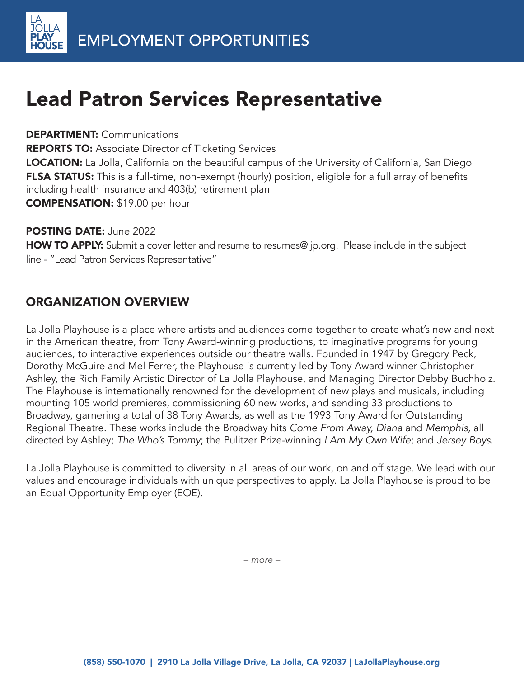# Lead Patron Services Representative

#### DEPARTMENT: Communications

**REPORTS TO:** Associate Director of Ticketing Services

**LOCATION:** La Jolla, California on the beautiful campus of the University of California, San Diego FLSA STATUS: This is a full-time, non-exempt (hourly) position, eligible for a full array of benefits including health insurance and 403(b) retirement plan COMPENSATION: \$19.00 per hour

#### POSTING DATE: June 2022

HOW TO APPLY: Submit a cover letter and resume to resumes@ljp.org. Please include in the subject line - "Lead Patron Services Representative"

# ORGANIZATION OVERVIEW

La Jolla Playhouse is a place where artists and audiences come together to create what's new and next in the American theatre, from Tony Award-winning productions, to imaginative programs for young audiences, to interactive experiences outside our theatre walls. Founded in 1947 by Gregory Peck, Dorothy McGuire and Mel Ferrer, the Playhouse is currently led by Tony Award winner Christopher Ashley, the Rich Family Artistic Director of La Jolla Playhouse, and Managing Director Debby Buchholz. The Playhouse is internationally renowned for the development of new plays and musicals, including mounting 105 world premieres, commissioning 60 new works, and sending 33 productions to Broadway, garnering a total of 38 Tony Awards, as well as the 1993 Tony Award for Outstanding Regional Theatre. These works include the Broadway hits Come From Away, Diana and Memphis, all directed by Ashley; The Who's Tommy; the Pulitzer Prize-winning I Am My Own Wife; and Jersey Boys.

La Jolla Playhouse is committed to diversity in all areas of our work, on and off stage. We lead with our values and encourage individuals with unique perspectives to apply. La Jolla Playhouse is proud to be an Equal Opportunity Employer (EOE).

*– more –*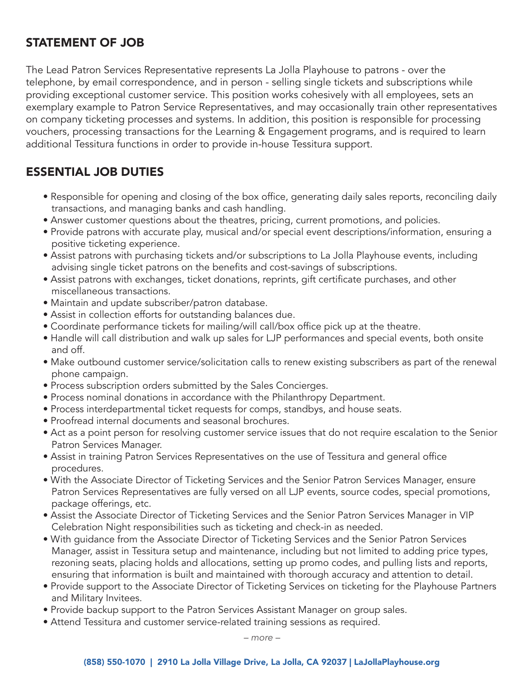# STATEMENT OF JOB

The Lead Patron Services Representative represents La Jolla Playhouse to patrons - over the telephone, by email correspondence, and in person - selling single tickets and subscriptions while providing exceptional customer service. This position works cohesively with all employees, sets an exemplary example to Patron Service Representatives, and may occasionally train other representatives on company ticketing processes and systems. In addition, this position is responsible for processing vouchers, processing transactions for the Learning & Engagement programs, and is required to learn additional Tessitura functions in order to provide in-house Tessitura support.

## ESSENTIAL JOB DUTIES

- Responsible for opening and closing of the box office, generating daily sales reports, reconciling daily transactions, and managing banks and cash handling.
- Answer customer questions about the theatres, pricing, current promotions, and policies.
- Provide patrons with accurate play, musical and/or special event descriptions/information, ensuring a positive ticketing experience.
- Assist patrons with purchasing tickets and/or subscriptions to La Jolla Playhouse events, including advising single ticket patrons on the benefits and cost-savings of subscriptions.
- Assist patrons with exchanges, ticket donations, reprints, gift certificate purchases, and other miscellaneous transactions.
- Maintain and update subscriber/patron database.
- Assist in collection efforts for outstanding balances due.
- Coordinate performance tickets for mailing/will call/box office pick up at the theatre.
- Handle will call distribution and walk up sales for LJP performances and special events, both onsite and off.
- Make outbound customer service/solicitation calls to renew existing subscribers as part of the renewal phone campaign.
- Process subscription orders submitted by the Sales Concierges.
- Process nominal donations in accordance with the Philanthropy Department.
- Process interdepartmental ticket requests for comps, standbys, and house seats.
- Proofread internal documents and seasonal brochures.
- Act as a point person for resolving customer service issues that do not require escalation to the Senior Patron Services Manager.
- Assist in training Patron Services Representatives on the use of Tessitura and general office procedures.
- With the Associate Director of Ticketing Services and the Senior Patron Services Manager, ensure Patron Services Representatives are fully versed on all LJP events, source codes, special promotions, package offerings, etc.
- Assist the Associate Director of Ticketing Services and the Senior Patron Services Manager in VIP Celebration Night responsibilities such as ticketing and check-in as needed.
- With guidance from the Associate Director of Ticketing Services and the Senior Patron Services Manager, assist in Tessitura setup and maintenance, including but not limited to adding price types, rezoning seats, placing holds and allocations, setting up promo codes, and pulling lists and reports, ensuring that information is built and maintained with thorough accuracy and attention to detail.
- Provide support to the Associate Director of Ticketing Services on ticketing for the Playhouse Partners and Military Invitees.
- Provide backup support to the Patron Services Assistant Manager on group sales.
- Attend Tessitura and customer service-related training sessions as required.